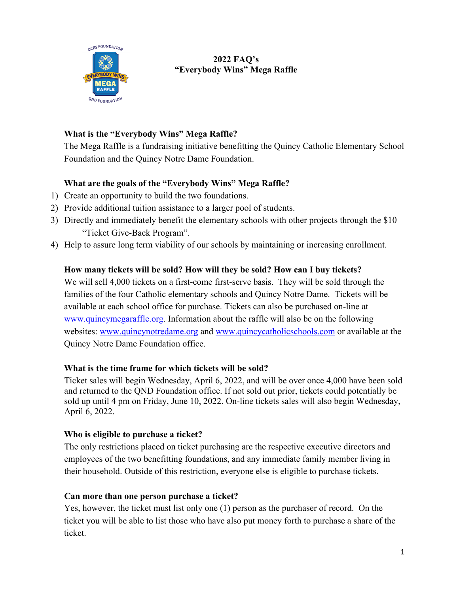

# **2022 FAQ's "Everybody Wins" Mega Raffle**

# **What is the "Everybody Wins" Mega Raffle?**

The Mega Raffle is a fundraising initiative benefitting the Quincy Catholic Elementary School Foundation and the Quincy Notre Dame Foundation.

# **What are the goals of the "Everybody Wins" Mega Raffle?**

- 1) Create an opportunity to build the two foundations.
- 2) Provide additional tuition assistance to a larger pool of students.
- 3) Directly and immediately benefit the elementary schools with other projects through the \$10 "Ticket Give-Back Program".
- 4) Help to assure long term viability of our schools by maintaining or increasing enrollment.

## **How many tickets will be sold? How will they be sold? How can I buy tickets?**

We will sell 4,000 tickets on a first-come first-serve basis. They will be sold through the families of the four Catholic elementary schools and Quincy Notre Dame. Tickets will be available at each school office for purchase. Tickets can also be purchased on-line at www.quincymegaraffle.org. Information about the raffle will also be on the following websites: www.quincynotredame.org and www.quincycatholicschools.com or available at the Quincy Notre Dame Foundation office.

# **What is the time frame for which tickets will be sold?**

Ticket sales will begin Wednesday, April 6, 2022, and will be over once 4,000 have been sold and returned to the QND Foundation office. If not sold out prior, tickets could potentially be sold up until 4 pm on Friday, June 10, 2022. On-line tickets sales will also begin Wednesday, April 6, 2022.

#### **Who is eligible to purchase a ticket?**

The only restrictions placed on ticket purchasing are the respective executive directors and employees of the two benefitting foundations, and any immediate family member living in their household. Outside of this restriction, everyone else is eligible to purchase tickets.

#### **Can more than one person purchase a ticket?**

Yes, however, the ticket must list only one (1) person as the purchaser of record. On the ticket you will be able to list those who have also put money forth to purchase a share of the ticket.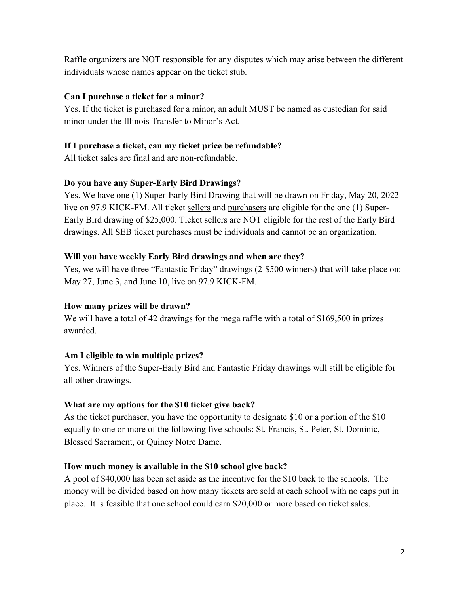Raffle organizers are NOT responsible for any disputes which may arise between the different individuals whose names appear on the ticket stub.

#### **Can I purchase a ticket for a minor?**

Yes. If the ticket is purchased for a minor, an adult MUST be named as custodian for said minor under the Illinois Transfer to Minor's Act.

## **If I purchase a ticket, can my ticket price be refundable?**

All ticket sales are final and are non-refundable.

## **Do you have any Super-Early Bird Drawings?**

Yes. We have one (1) Super-Early Bird Drawing that will be drawn on Friday, May 20, 2022 live on 97.9 KICK-FM. All ticket sellers and purchasers are eligible for the one (1) Super-Early Bird drawing of \$25,000. Ticket sellers are NOT eligible for the rest of the Early Bird drawings. All SEB ticket purchases must be individuals and cannot be an organization.

## **Will you have weekly Early Bird drawings and when are they?**

Yes, we will have three "Fantastic Friday" drawings (2-\$500 winners) that will take place on: May 27, June 3, and June 10, live on 97.9 KICK-FM.

# **How many prizes will be drawn?**

We will have a total of 42 drawings for the mega raffle with a total of \$169,500 in prizes awarded.

# **Am I eligible to win multiple prizes?**

Yes. Winners of the Super-Early Bird and Fantastic Friday drawings will still be eligible for all other drawings.

#### **What are my options for the \$10 ticket give back?**

As the ticket purchaser, you have the opportunity to designate \$10 or a portion of the \$10 equally to one or more of the following five schools: St. Francis, St. Peter, St. Dominic, Blessed Sacrament, or Quincy Notre Dame.

#### **How much money is available in the \$10 school give back?**

A pool of \$40,000 has been set aside as the incentive for the \$10 back to the schools. The money will be divided based on how many tickets are sold at each school with no caps put in place. It is feasible that one school could earn \$20,000 or more based on ticket sales.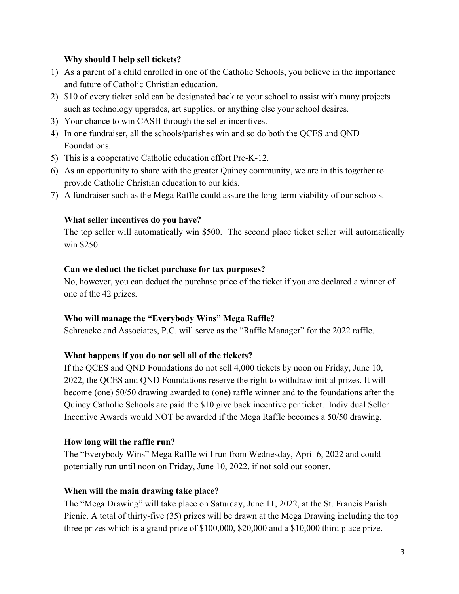#### **Why should I help sell tickets?**

- 1) As a parent of a child enrolled in one of the Catholic Schools, you believe in the importance and future of Catholic Christian education.
- 2) \$10 of every ticket sold can be designated back to your school to assist with many projects such as technology upgrades, art supplies, or anything else your school desires.
- 3) Your chance to win CASH through the seller incentives.
- 4) In one fundraiser, all the schools/parishes win and so do both the QCES and QND Foundations.
- 5) This is a cooperative Catholic education effort Pre-K-12.
- 6) As an opportunity to share with the greater Quincy community, we are in this together to provide Catholic Christian education to our kids.
- 7) A fundraiser such as the Mega Raffle could assure the long-term viability of our schools.

# **What seller incentives do you have?**

The top seller will automatically win \$500. The second place ticket seller will automatically win \$250.

# **Can we deduct the ticket purchase for tax purposes?**

No, however, you can deduct the purchase price of the ticket if you are declared a winner of one of the 42 prizes.

# **Who will manage the "Everybody Wins" Mega Raffle?**

Schreacke and Associates, P.C. will serve as the "Raffle Manager" for the 2022 raffle.

# **What happens if you do not sell all of the tickets?**

If the QCES and QND Foundations do not sell 4,000 tickets by noon on Friday, June 10, 2022, the QCES and QND Foundations reserve the right to withdraw initial prizes. It will become (one) 50/50 drawing awarded to (one) raffle winner and to the foundations after the Quincy Catholic Schools are paid the \$10 give back incentive per ticket. Individual Seller Incentive Awards would NOT be awarded if the Mega Raffle becomes a 50/50 drawing.

# **How long will the raffle run?**

The "Everybody Wins" Mega Raffle will run from Wednesday, April 6, 2022 and could potentially run until noon on Friday, June 10, 2022, if not sold out sooner.

# **When will the main drawing take place?**

The "Mega Drawing" will take place on Saturday, June 11, 2022, at the St. Francis Parish Picnic. A total of thirty-five (35) prizes will be drawn at the Mega Drawing including the top three prizes which is a grand prize of \$100,000, \$20,000 and a \$10,000 third place prize.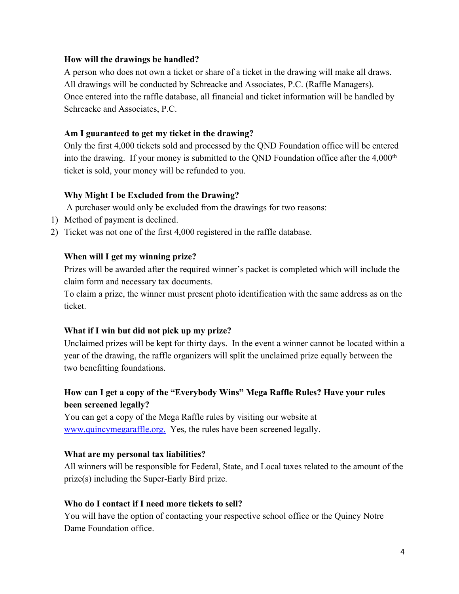#### **How will the drawings be handled?**

A person who does not own a ticket or share of a ticket in the drawing will make all draws. All drawings will be conducted by Schreacke and Associates, P.C. (Raffle Managers). Once entered into the raffle database, all financial and ticket information will be handled by Schreacke and Associates, P.C.

#### **Am I guaranteed to get my ticket in the drawing?**

Only the first 4,000 tickets sold and processed by the QND Foundation office will be entered into the drawing. If your money is submitted to the QND Foundation office after the  $4,000<sup>th</sup>$ ticket is sold, your money will be refunded to you.

## **Why Might I be Excluded from the Drawing?**

A purchaser would only be excluded from the drawings for two reasons:

- 1) Method of payment is declined.
- 2) Ticket was not one of the first 4,000 registered in the raffle database.

## **When will I get my winning prize?**

Prizes will be awarded after the required winner's packet is completed which will include the claim form and necessary tax documents.

To claim a prize, the winner must present photo identification with the same address as on the ticket.

#### **What if I win but did not pick up my prize?**

Unclaimed prizes will be kept for thirty days. In the event a winner cannot be located within a year of the drawing, the raffle organizers will split the unclaimed prize equally between the two benefitting foundations.

# **How can I get a copy of the "Everybody Wins" Mega Raffle Rules? Have your rules been screened legally?**

You can get a copy of the Mega Raffle rules by visiting our website at www.quincymegaraffle.org. Yes, the rules have been screened legally.

#### **What are my personal tax liabilities?**

All winners will be responsible for Federal, State, and Local taxes related to the amount of the prize(s) including the Super-Early Bird prize.

#### **Who do I contact if I need more tickets to sell?**

You will have the option of contacting your respective school office or the Quincy Notre Dame Foundation office.